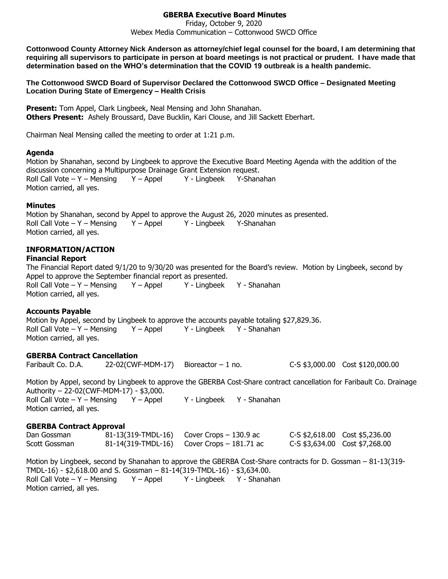## **GBERBA Executive Board Minutes**

Friday, October 9, 2020 Webex Media Communication – Cottonwood SWCD Office

**Cottonwood County Attorney Nick Anderson as attorney/chief legal counsel for the board, I am determining that requiring all supervisors to participate in person at board meetings is not practical or prudent. I have made that determination based on the WHO's determination that the COVID 19 outbreak is a health pandemic.**

**The Cottonwood SWCD Board of Supervisor Declared the Cottonwood SWCD Office – Designated Meeting Location During State of Emergency – Health Crisis**

**Present:** Tom Appel, Clark Lingbeek, Neal Mensing and John Shanahan. **Others Present:** Ashely Broussard, Dave Bucklin, Kari Clouse, and Jill Sackett Eberhart.

Chairman Neal Mensing called the meeting to order at 1:21 p.m.

#### **Agenda**

Motion by Shanahan, second by Lingbeek to approve the Executive Board Meeting Agenda with the addition of the discussion concerning a Multipurpose Drainage Grant Extension request. Roll Call Vote – Y – Mensing  $Y -$  Appel  $Y -$  Lingbeek Y-Shanahan Motion carried, all yes.

#### **Minutes**

Motion by Shanahan, second by Appel to approve the August 26, 2020 minutes as presented. Roll Call Vote – Y – Mensing Y – Appel Y - Lingbeek Y-Shanahan Motion carried, all yes.

## **INFORMATION/ACTION**

#### **Financial Report**

The Financial Report dated 9/1/20 to 9/30/20 was presented for the Board's review. Motion by Lingbeek, second by Appel to approve the September financial report as presented. Roll Call Vote – Y – Mensing Y – Appel Y - Lingbeek Y - Shanahan Motion carried, all yes.

## **Accounts Payable**

Motion by Appel, second by Lingbeek to approve the accounts payable totaling \$27,829.36. Roll Call Vote – Y – Mensing  $Y -$  Appel  $Y -$  Lingbeek  $Y -$  Shanahan Motion carried, all yes.

## **GBERBA Contract Cancellation**

Faribault Co. D.A. 22-02(CWF-MDM-17) Bioreactor – 1 no. C-S \$3,000.00 Cost \$120,000.00 Motion by Appel, second by Lingbeek to approve the GBERBA Cost-Share contract cancellation for Faribault Co. Drainage Authority – 22-02(CWF-MDM-17) - \$3,000. Roll Call Vote – Y – Mensing  $Y -$  Appel  $Y -$  Lingbeek  $Y -$  Shanahan Motion carried, all yes.

## **GBERBA Contract Approval**

| Dan Gossman   | $81-13(319-TMDL-16)$ Cover Crops – 130.9 ac  | C-S \$2,618.00 Cost \$5,236.00 |
|---------------|----------------------------------------------|--------------------------------|
| Scott Gossman | 81-14(319-TMDL-16) Cover Crops $-$ 181.71 ac | C-S \$3,634.00 Cost \$7,268.00 |

Motion by Lingbeek, second by Shanahan to approve the GBERBA Cost-Share contracts for D. Gossman – 81-13(319- TMDL-16) - \$2,618.00 and S. Gossman – 81-14(319-TMDL-16) - \$3,634.00. Roll Call Vote – Y – Mensing  $Y -$  Appel  $Y -$  Lingbeek  $Y -$  Shanahan Motion carried, all yes.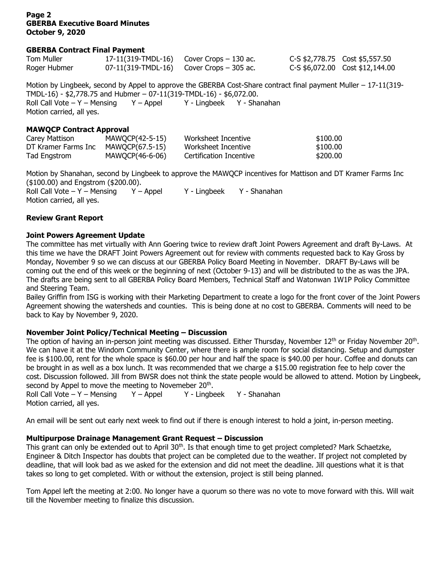#### **Page 2 GBERBA Executive Board Minutes October 9, 2020**

#### **GBERBA Contract Final Payment**

| Tom Muller   | 17-11(319-TMDL-16) Cover Crops $-130$ ac.  | C-S \$2,778.75 Cost \$5,557.50  |
|--------------|--------------------------------------------|---------------------------------|
| Roger Hubmer | 07-11(319-TMDL-16) Cover Crops $-$ 305 ac. | C-S \$6,072.00 Cost \$12,144.00 |

Motion by Lingbeek, second by Appel to approve the GBERBA Cost-Share contract final payment Muller – 17-11(319- TMDL-16) - \$2,778.75 and Hubmer – 07-11(319-TMDL-16) - \$6,072.00. Roll Call Vote – Y – Mensing Y – Appel Y - Lingbeek Y - Shanahan Motion carried, all yes.

#### **MAWQCP Contract Approval**

| Carey Mattison      | MAWQCP(42-5-15) | Worksheet Incentive     | \$100.00 |
|---------------------|-----------------|-------------------------|----------|
| DT Kramer Farms Inc | MAWOCP(67.5-15) | Worksheet Incentive     | \$100.00 |
| Tad Engstrom        | MAWQCP(46-6-06) | Certification Incentive | \$200.00 |

Motion by Shanahan, second by Lingbeek to approve the MAWQCP incentives for Mattison and DT Kramer Farms Inc (\$100.00) and Engstrom (\$200.00). Roll Call Vote – Y – Mensing  $Y -$  Appel  $Y -$  Lingbeek  $Y -$  Shanahan Motion carried, all yes.

#### **Review Grant Report**

## **Joint Powers Agreement Update**

The committee has met virtually with Ann Goering twice to review draft Joint Powers Agreement and draft By-Laws. At this time we have the DRAFT Joint Powers Agreement out for review with comments requested back to Kay Gross by Monday, November 9 so we can discuss at our GBERBA Policy Board Meeting in November. DRAFT By-Laws will be coming out the end of this week or the beginning of next (October 9-13) and will be distributed to the as was the JPA. The drafts are being sent to all GBERBA Policy Board Members, Technical Staff and Watonwan 1W1P Policy Committee and Steering Team.

Bailey Griffin from ISG is working with their Marketing Department to create a logo for the front cover of the Joint Powers Agreement showing the watersheds and counties. This is being done at no cost to GBERBA. Comments will need to be back to Kay by November 9, 2020.

## **November Joint Policy/Technical Meeting – Discussion**

The option of having an in-person joint meeting was discussed. Either Thursday, November 12<sup>th</sup> or Friday November 20<sup>th</sup>. We can have it at the Windom Community Center, where there is ample room for social distancing. Setup and dumpster fee is \$100.00, rent for the whole space is \$60.00 per hour and half the space is \$40.00 per hour. Coffee and donuts can be brought in as well as a box lunch. It was recommended that we charge a \$15.00 registration fee to help cover the cost. Discussion followed. Jill from BWSR does not think the state people would be allowed to attend. Motion by Lingbeek, second by Appel to move the meeting to Novemeber 20<sup>th</sup>.

Roll Call Vote – Y – Mensing Y – Appel Y - Lingbeek Y - Shanahan Motion carried, all yes.

An email will be sent out early next week to find out if there is enough interest to hold a joint, in-person meeting.

## **Multipurpose Drainage Management Grant Request – Discussion**

This grant can only be extended out to April 30<sup>th</sup>. Is that enough time to get project completed? Mark Schaetzke, Engineer & Ditch Inspector has doubts that project can be completed due to the weather. If project not completed by deadline, that will look bad as we asked for the extension and did not meet the deadline. Jill questions what it is that takes so long to get completed. With or without the extension, project is still being planned.

Tom Appel left the meeting at 2:00. No longer have a quorum so there was no vote to move forward with this. Will wait till the November meeting to finalize this discussion.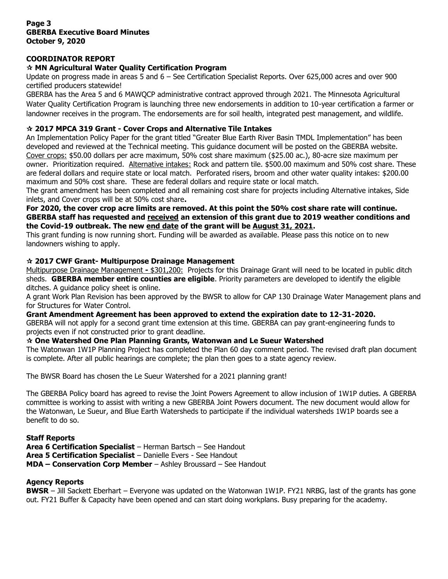## **Page 3 GBERBA Executive Board Minutes October 9, 2020**

# **COORDINATOR REPORT**

# **MN Agricultural Water Quality Certification Program**

Update on progress made in areas 5 and 6 – See Certification Specialist Reports. Over 625,000 acres and over 900 certified producers statewide!

GBERBA has the Area 5 and 6 MAWQCP administrative contract approved through 2021. The Minnesota Agricultural Water Quality Certification Program is launching three new endorsements in addition to 10-year certification a farmer or landowner receives in the program. The endorsements are for soil health, integrated pest management, and wildlife.

# **2017 MPCA 319 Grant - Cover Crops and Alternative Tile Intakes**

An Implementation Policy Paper for the grant titled "Greater Blue Earth River Basin TMDL Implementation" has been developed and reviewed at the Technical meeting. This guidance document will be posted on the GBERBA website. Cover crops: \$50.00 dollars per acre maximum, 50% cost share maximum (\$25.00 ac.), 80-acre size maximum per owner. Prioritization required. Alternative intakes: Rock and pattern tile. \$500.00 maximum and 50% cost share. These are federal dollars and require state or local match. Perforated risers, broom and other water quality intakes: \$200.00 maximum and 50% cost share. These are federal dollars and require state or local match.

The grant amendment has been completed and all remaining cost share for projects including Alternative intakes, Side inlets, and Cover crops will be at 50% cost share**.** 

**For 2020, the cover crop acre limits are removed. At this point the 50% cost share rate will continue. GBERBA staff has requested and received an extension of this grant due to 2019 weather conditions and the Covid-19 outbreak. The new end date of the grant will be August 31, 2021.** 

This grant funding is now running short. Funding will be awarded as available. Please pass this notice on to new landowners wishing to apply.

## **2017 CWF Grant- Multipurpose Drainage Management**

Multipurpose Drainage Management **-** \$301,200: Projects for this Drainage Grant will need to be located in public ditch sheds. **GBERBA member entire counties are eligible**. Priority parameters are developed to identify the eligible ditches. A guidance policy sheet is online.

A grant Work Plan Revision has been approved by the BWSR to allow for CAP 130 Drainage Water Management plans and for Structures for Water Control.

#### **Grant Amendment Agreement has been approved to extend the expiration date to 12-31-2020.**

GBERBA will not apply for a second grant time extension at this time. GBERBA can pay grant-engineering funds to projects even if not constructed prior to grant deadline.

## **One Watershed One Plan Planning Grants, Watonwan and Le Sueur Watershed**

The Watonwan 1W1P Planning Project has completed the Plan 60 day comment period. The revised draft plan document is complete. After all public hearings are complete; the plan then goes to a state agency review.

The BWSR Board has chosen the Le Sueur Watershed for a 2021 planning grant!

The GBERBA Policy board has agreed to revise the Joint Powers Agreement to allow inclusion of 1W1P duties. A GBERBA committee is working to assist with writing a new GBERBA Joint Powers document. The new document would allow for the Watonwan, Le Sueur, and Blue Earth Watersheds to participate if the individual watersheds 1W1P boards see a benefit to do so.

## **Staff Reports**

**Area 6 Certification Specialist** – Herman Bartsch – See Handout **Area 5 Certification Specialist** – Danielle Evers - See Handout **MDA – Conservation Corp Member** – Ashley Broussard – See Handout

## **Agency Reports**

**BWSR** – Jill Sackett Eberhart – Everyone was updated on the Watonwan 1W1P. FY21 NRBG, last of the grants has gone out. FY21 Buffer & Capacity have been opened and can start doing workplans. Busy preparing for the academy.